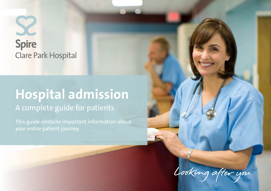# **Spire Clare Park Hospital**

## **Hospital admission** A complete guide for patients

This guide contains important information about

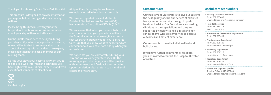This brochure is designed to provide information you require before, during and after your stay with us.

Please bring this brochure with you to the about your stay with us and aftercare.

Our hospital team is here to help you during your stay so, if you have any queries or concerns, aspect of your stay with us and what to expect, please don't hesitate to ask a member of our nursing team.

During your stay at our hospital we want you to feel relaxed, well-informed and confident. We have high levels in our clinical expertise and with exceptional standards of cleanliness.



We hope that you are comfortable during your stay and we welcome your feedback. On the morning of your discharge, you will be provided with a comments and feedback questionnaire. Upon completion please return to a member of reception or ward staff.

At Spire Clare Park Hospital we have an exemplary record in healthcare standards.

We have no reported cases of Methicillin Resistant Staphylococcus Aurous (MRSA), bacteraemia or Clostridium Difficile (C.Diff).

We are aware that when you come into hospital, your admission and your procedure will be at that we start to prepare you for your discharge to ensure that you know what to expect and are confident about your care, particularly when you return home.

#### **Customer Care**

Our objective at Clare Park is to give our patients the best quality of care and service at all times, from your initial enquiry through to posttreatment advice. Our Consultants are leading clinicians in their specialities and they are supported by highly trained clinical and nonclinical teams who are committed to positive outcomes and patient experience.

Our mission is to provide individualised and holistic care.

If you have further comments or feedback you are invited to contact the Hospital Director or Matron.

## **Useful contact numbers**

| » Self-Pay Treatment Enquiries<br>Tel: 01252 895490<br>Email address: info@spireclarepark.com          |
|--------------------------------------------------------------------------------------------------------|
| » Hospital Reception<br>Tel: 01252 850216<br>Fax: 01252 850228                                         |
| » Pre-operative Assessment Department<br>Tel: 01252 895493                                             |
| » Physiotherapy Department<br>Tel: 01252 895426<br>Hours: Mon - Fri 9am - 5pm                          |
| » Pharmacy Department<br>Tel: 01252 850216<br>Hours: Mon - Fri 9am - 3pm                               |
| » Radiology Department<br>Tel: 01252 895427<br>Hours: Mon - Fri 8am - 7pm                              |
| » Invoice and payment queries<br>Reading Office: 0845 605246<br>Email address: hsc@spirehealthcare.com |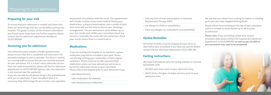## **Preparing for your visit**

To ensure that your admission is smooth and stress free, there are some things that you can do before coming into hospital. This guide contains all the relevant information you should need. If you have any further enquiries please contact the Pre-admission department directly on 01252 895493

## **Assessing you for admission**

Your admission pack includes a health questionnaire: please ensure that this is completed and returned in the pre-paid envelope as soon as possible. This form is used by our nursing staff to ensure that you are correctly assessed for your procedure. If it is a short notice admission (ie less than one week to procedure), please call the Pre-admission department on 01252 895493 (please note: this extension is not manned over the weekend).

If you are not able to call, please bring in the questionnaire with you on admission. If your consultant feels it is necessary, they will arrange for you to have a pre-operative

assessment consultation with the nurse. This appointment will include a review of your past medical history, your medications, a physical examination, and a variety of tests. Your nurse will use this time to discuss your discharge arrangements. The pre-assessment nurse follows up on your test results and notifies your consultant about any concerns. Generally, the nurse will not contact you about your results unless there is a need to do so.

### **Medications**

If you are coming into hospital as an inpatient, a green medication bag will be included in your pack. Please use this bag to bring your medication in their original containers. Please continue to take any prescribed medication unless we have advised you not to do so by the Pre-admission nurses or your consultant. Please inform the hospital prior to your admission if you:

» take blood thinners

- » take medications for diabetes
- 
- » take blood pressure medication

| » take any form of oral contraception or Hormone<br>Replacement Therapy (HRT) |
|-------------------------------------------------------------------------------|
| » are allergic to LATEX or anaesthetics                                       |
| » have any allergies inc medications and anaesthetic                          |
|                                                                               |

#### **Herbal Remedies**

All herbal remedies must be stopped at least 10 to 12 days before your procedure. If you have any queries please contact the pre admission department 01252 895 493

#### **Fasting instructions**

We require all patients who are having sedation or General Anaesthetic (GA)

- » DO NOT eat 6 hours prior to your admission time,
- » MUST drink a full glass of water one hour prior to your admission time.

We ask that you refrain from sucking on sweets or chewing gum once you have stopped drinking fluids.

Please refrain from smoking on the day of your procedure and it is sensible to avoid alcohol up to 48 hrs prior to admission.

**Please note:** If you are feeling unwell prior to your procedure date please contact the hospital pre-admission department on 01252895493 **as soon as you are able as your procedure may need to be postponed.**

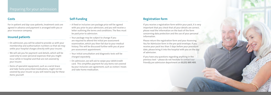### **Costs**

For in-patient and day-case patients, treatment costs are agreed in advance and payment is arranged with you or your insurance company.

### **Insured patients**

- » On admission, you will be asked to provide us with your membership and authorisation numbers so that we may settle your hospital charges directly with your insurer.
- » We will ask you for payment card details, which will be used only to cover personal expenses that you might incur while in hospital and that are not covered by your insurer.
- » Items of specialist equipment, such as a wrist brace and take-home prescribed medications, might not be covered by your insurer so you will need to pay for these items yourself.

## **Self-Funding**

- » A fixed or inclusive care package price will be agreed with you prior to your admission, and you will receive a letter outlining the terms and conditions. The fees must be paid prior to admission.
- » Your package may be subject to change if you are required to attend the initial pre-assessment examination, which you then fail due to your medical history. This will be discussed further with you at your pre-assessment appointment.
- » Your initial consultation and diagnostic tests will be charged separately.
- » On admission, we will ask to swipe your debit/credit card. This simplifies payment for any items not covered by your inclusive care agreement, such as visitors' meals and take-home medication.

#### **Registration form**

If you receive a registration form within your pack, it is very important that you check that all your details are correct; please read the information on the back of the form concerning data protection and the use of your personal information.

Please return the registration form and your Assessing You for Admission form in the pre-paid envelope. If you receive your pack less than 3 days before your procedure date, please bring it into the hospital with you on the day of admission.

If you have any questions regarding anything in the previous text – please do not hesitate to contact our friendly pre admission department on **01252 895 493**.

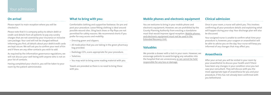#### **On arrival**

Please report to main reception where you will be checked in.

Please note that it is company policy to obtain debit or credit card details from all patients to pay any sundry charges that are not covered by your insurance or inclusive care package. Your card will not be charged without informing you first; all details about your debit/credit cards are kept secure. We will ask you to confirm your next of kin and if there are any other contacts you wish to add.

As required by the information governance regulations, we will not discuss your well-being with anyone who is not on your list of contacts.

Having completed your check-in, you will be taken to your room by the patient administrator.

#### **What to bring with you:**

Comfortable clothing and supportive footwear; for pre and post your procedure. Loose fitting clothing is ideal around possible wound sites. Sling back shoes or flip flops are not permitted for safety reasons. We recommend shorts if you prefer for easy access and mobility.

» Dressing gown and slippers.

- » All medication that you are taking in the green pharmacy bag provided.
- » Radiology CD's, scans appropriate for your procedure.
- » Toiletries.

» You may wish to bring some reading material with you.

Towels are provided so there is no need to bring these with you.

## **Mobile phones and electronic equipment**

You are welcome to bring in your mobile phone and electronic equipment; However, we are prohibited by the County Planning Authority from erecting a standalone mast that would improve signal reception. Mobile phones and electronic equipment must not be used in the Extended Recovery Unit.

#### **Valuables**

We provide a drawer with a lock in your room. However, we encourage patients to avoid bringing any valuables into the hospital that are unnecessary as we cannot be held responsible for any loss or damage.

## **Clinical admission**

Once in your room, a nurse will admit you. This involves confirming all your procedure details and explaining what will happen during your stay. Your discharge plan will also be discussed.

Your assigned nurse is unable to confirm what time your procedure is; however, your surgeon or anaesthetist will be able to advise you on the day. Your nurse will keep you informed of any changes that may affect you.

## **Anaesthesia**

After your arrival, you will be visited in your room by your anaesthetist to discuss your health and if there have been any changes in your condition since you last saw your consultant. They will discuss with you the most appropriate type of anaesthesia for you and your procedure, if this has not already been confirmed with you beforehand.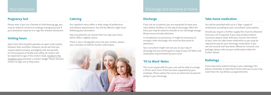#### **Pregnancy test**

Please note: If you are a female of child bearing age, you may be asked to consent to undergo a pregnancy test if your procedure requires it or sign the relevant disclaimer.

#### **Visiting hours**

Spire Clare Park Hospital operates an open visitor policy between 9am and 9pm. However, we do ask that you respect patient privacy and dignity and rest periods. For the purposes of health and safety, all visitors will be expected to sign in the visitors' book, located in the reception area and wear a visitors' badge. Please ask your visitors to sign out as they leave.

#### **Catering**

Our inpatient menu offers a wide range of preferences and dietary requirements. You will be offered a light meal following your procedure.

Day case patients can choose from our day case menu which offers a lighter choice.

There is also a chargeable menu for your visitors; please ask a member of staff for further information.



## Discharge and recovery at home

#### **Discharge**

If you are an in-patient, you are requested to leave your room before 10.00am on the day of discharge. After this time, you may be asked to relocate to our discharge lounge. Please ensure timely collection.

In exceptional circumstances, it might be necessary to arrange a later discharge; this must be discussed on admission.

Your consultant might not see you on your day of discharge but you will be given a copy of your GP letter and medication requirements by your nurse.

#### **'Fit to Work' Notes**

The nurse responsible for your care will be able to arrange a 'fit for work' form if this has been requested by your employer. Please advise the nurse on admission to prevent delays in your discharge.

## **Take-home medication**

You will be provided with up to 5 days' supply of medication according to your consultant's prescription.

Should you require a further supply this must be obtained from your GP if required. If you have private medical insurance, please check with your insurers the extent of your cover for take home medication as you may be required to pay for your discharge medication. If you are not insured and have been offered an inclusive care package, please refer to your confirmation letter for further details.

## **Radiology**

If you have been asked to bring in your radiology CD's, please remember to take them home with you as you may need them for any follow up appointments.

## Your admission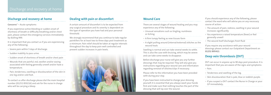### **Discharge and recovery at home**

**Concerns**\* – Acute symptoms

If you experience active bleeding or sudden onset of shortness of breath or difficulty breathing and/or chest pain, please contact the emergency services immediately by dialling 999.

It is important that you contact us if you are experiencing any of the following:

» Severe pain within 5 days of discharge.

- » Sudden inability to pass urine.
- » Sudden onset of shortness of breath and/or chest pain
- » Wounds that are painful, red, swollen and/or oozing associated with feeling generally unwell and/or have a temperature.
- » Pain, tenderness, swelling or discolouration of the skin in one leg and/or cold foot.

To contact us after discharge please dial the main hospital number (01252 850216) and ask for the nurse in charge who will be carrying a bleep.

## **Dealing with pain or discomfort**

A certain amount of discomfort is to be expected from any surgical procedure and its severity is dependent on the type of operation you have had and your personal threshold.

We strongly recommend that you continue to take regular painkillers for at least two to three days post treatment as a minimum. Pain relief should be taken at regular intervals throughout the day to keep pain well controlled and prevent sudden increases in pain levels.



#### **Wound Care**

Please refer to the information you have been provided with during your stay.

There are several stages of wound healing and you may experience any of the following: » Unusual sensations such as tingling, numbness or itching » A firm lumpy feeling as new tissues form » A slight pulling around (internal/external) stitches as the wound heals Swelling is normal and can take several weeks to settle. This is also the case with bruising, which may be severe and can take some weeks to disappear. Before discharge your nurse will give you any further dressings that may be required. They will also give you instructions regarding your wound care and information regarding removal of stitches/clips if necessary. course of action: » The amount of pain, redness, swelling in your wound increases significantly » You experience a raised temperature (fever) or feel generally unwell » The wound itself discharges fresh fluid If you require any assistance with your wound dressings please contact our Outpatient Department on **01252 895421 Deep vein thrombosis (DVT)** DVT can occur in anyone up to 90 days post procedure. It is important that you are aware of the signs and symptoms: » Pain.

If you have been instructed to change your dressing yourself, it is essential that you always wash your hands first and make sure that nothing touches the part of the dressing that will lay over the wound.

- If you should experience any of the following, please contact the ward who will advise you on any necessary
- 
- 
- 

- 
- » Tenderness and swelling of the leg.
- » Skin discolouration that is pale, blue or reddish-purple.
- » If you suspect a DVT contact the Nurse in Charge or your GP immediately..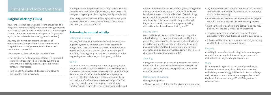## Discharge and recovery at home

## **Surgical stockings (TEDS)**

Your surgical stockings are an aid for the prevention of a deep vein thrombosis (DVT). Some types of surgery require you to wear these for up to 6 weeks, but as a minimum you should continue to wear them until you are fully mobile again (unless advised otherwise by your Consultant).

You may also have been prescribed a course of anti-coagulant therapy that will have commenced in hospital. It is vital that you complete this course of medication as prescribed.

Other measures that reduce the risk of DVT are:

- » Not to sit or lie for long periods of time; it is important to mobilise frequently (if able) and to build this up to your normal activity as soon as possible (unless otherwise instructed).
- » To drink plenty of water whilst recovering at home (unless otherwise instructed).

It is important to keep mobile and do any specific exercises that you have been given. If you have any pain, make sure that you take your painkillers regularly until pain subsides.

If you are planning to fly soon after a procedure and have concerns about risks associated with this, please discuss this with your Consultant or GP.

#### **Returning to normal activity**

#### **Eating and Drinking**

You may find that your appetite is reduced and that your digestive system is temporarily altered i.e bloating or indigestion. These symptoms usually clear by themselves as you become more active. Small meals including fruit and fibre, taken regularly can reduce the likelihood of this happening. Also make sure you drink plenty of fluids.

#### **Bowels**

Changes in diet, less activity and some drugs may lead to irregular bowel habits. An anaesthetic can be disruptive to bowel function and can be made worse if you are immobile for some time. Codeine based medicines are prone to cause constipation whilst anti – inflammatory medicine such as ibuprofen/Naproxen, may cause indigestion. The effects are usually only temporary and normal bowel function should return when you regain your appetite and

become fully mobile again. Ensure that you eat a high fibre diet and drink plenty of water to combat constipation. Diarrhoea is also a common side effect of certain drugs such as antibiotics, certain anti-inflammatory and iron supplements. If diarrhoea is particularly problematic for you and is due to the medication you are taking, alternatives should be discussed with your GP.

#### **Passing urine**

Most patients will have no difficulties in passing urine after discharge. It is important to remain well hydrated particularly in hot weather. Being well hydrated will also aid in the anaesthetic drugs being eliminated. However, if you are finding it difficult to pass urine and have any associated pain or discomfort, please contact the Nurse in charge on the ward or contact your GP.

#### **Sleeping**

Changes in routine and restricted movement can make it more difficult to sleep. Wound discomfort may keep you awake so taking your prescribed painkillers at bedtime would be beneficial.

#### **Bathing and showering**

Some general points:

» Shower where possible as bathing is not recommended.

- » Try not to immerse or soak your wound as this will break down the skin around the wound site and increase the risk of bacteria entering.
- » Allow the shower water to run over the wound site; do not rub the area as this will delay the healing process.
- » It is helpful to have a chair in the bathroom as you may find you will tire easily following an anesthetic.
- » Avoid using any soap, shower gels or other bathing products over the wound site and avoid talcum powder.
- » It is advised that you have someone to assist you nearby you the first time you shower at home.

#### **Clothing**

Avoid tight, uncomfortable clothing that can rub on your wound. If you are required to wear support garments, instructions will be given to you separately.

#### **Work**

Resuming work depends on the type of procedure you have had and what your job involves. Your consultant will advise you accordingly; it is better to feel completely well before you return to work as many people can feel tired and find concentrating difficult if they return to work too soon.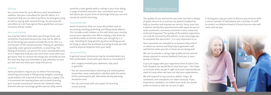## Patient satisfaction

The quality of care and service you have received is always of great concern to us and we use patient feedback to help us monitor and improve our service. Every room has a patient satisfaction questionnaire with space for you to write comments, and every comment is read, noted and actioned if required. The quality of the patient experience can only be assessed by the patient, so we encourage you to complete this document – it is very important to us.

Your comments are valuable to us because they inform us about our service and they help to generate staff satisfaction when you let us know we are doing well.

We aim to provide a caring, high quality service and are always pleased to receive feedback from you, or your family or friends.

If you are happy with your experience here at Spire Clare Park Hospital, we would like to hear from you – this helps us to know when we get it right and more importantly we need to know when we have not met your expectations.

We will respond to any concerns within 3 days. All comments and complaints are taken seriously. If you experience a problem, no matter how small, we would prefer to know so that we can put it right.

If, during your stay, you wish to discuss any concerns with a senior member of staff please ask a member of staff to contact our Matron/Head of Clinical Services who will come and see you.



#### **Driving**

You cannot drive for up to 48 hours post anaesthetics/ sedation. Ask your Consultant for specific advice. It is important that you are able to perform an emergency stop as well as coping with normal driving. You put yourself and others at risk if you ignore these guidelines and your insurance will be invalid.

#### **Rest and Activity**

You may feel rather tired when you first go home and sometimes frustrated because you may not be able to do all the things you would normally like to do. This is a normal part of the recovery process. Having an operation, especially under general anesthetic, is very tiring. This feeling of tiredness can persist for some considerable time so it is important that you rest more than usual when you get home. Plan to increase the things you normally do over the next few days but remember to pay attention to how you feel and rest when your body tells you to.

#### **Exercise**

Some procedures require you to refrain from bending, stretching excessively or lifting heavy weights, including small children, for a period of time after your surgery. This is to promote the healing phase and to avoid straining your muscles around your wound site. However, when deemed safe, we encourage gentle exercise daily, which

could be a short gentle walk or sitting in your chair doing a range of motion exercises. Your consultant and nurse will advise you at your time of discharge what you can and cannot do and for how long.

#### **Household jobs**

Avoid movements that can cause discomfort such as vacuuming, bending,stretching and lifting heavy objects. This includes small children as this will strain your muscles around your operation site. When making a hot drink, do not fill the kettle to full but rather just enough for 1-2 cups. Standing for long periods eg when washing up can be tiring so adjust the workload according to how you feel and the physical response from your body.

#### **Sexual Activity**

In general sexual intercourse may be resumed when you feel comfortable. Check with your Nurse or Consultant if:

- » Your surgery involved your abdomen, hips, back or genitalia
- » You are concerned about restarting oral contraception (remember some medications interfere with the action of the contraceptive pill, alternative family planning should be used.

» You are concerned with any aspect of resuming sexual activity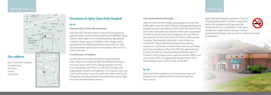**From Camberley/Farnborough:**

Take the A325 Farnham Road, turning right at Heath End traffic lights onto the A287 Odiham / Basingstoke Road. Go straight over the roundabout at the top of the B3013 Fleet Road. After 100 yards turn left into Heath Lane, signposted Crondall and Clare Park. Drive straight on for one mile to the t-junction at the foot of the hill and turn left towards Farnham. The hospital is then half a mile further on, on the left. Please note that during serious adverse weather it is advisable to avoid Heath Lane. At such times, from the roundabout, follow the A287 for approximately 2 miles. Turn left into Bowling Alley and follow signs to Crondall: in the village centre, opposite the Post Office and stores, take a left turn signposted Farnham. Spire Clare Park Hospital is then 3/4 of a mile on the left.

#### **By rail**

Spire Clare Park Hospital is a 10 minute taxi ride from Farnham train station and 20 minute taxi ride from Fleet station.

## Smoking

Spire Clare Park Hospital operates a total no smoking policy, which includes e-cigarettes, within the hospital and all grounds. We thank you for your co-operation. If you are a smoker, you might wish to discuss nicotine replacement therapy with your GP or a pharmacist prior to admission.



**ITM** H

## How to find us

Surrey

## **Directions to Spire Clare Park Hospital**

#### **By car**

#### **From junction 5 of the M3 motorway:**

Take the A287 Farnham Road via the Odiham bypass. In approximately 4 miles, almost opposite the BP/M&S filling station, take a right turn into Bowling Alley, sign posted Crondall. Follow signs to Crondall: in the village centre, opposite the Post Office and stores, take a left turn sign posted Farnham. Spire Clare Park Hospital is then 3/4 of a mile on the left.

#### **From the east of Farnham:**

Use the A31 to the west of Farnham, bypassing the town. Take the third exit at A325 roundabout leading to the town centre. After half a mile go straight over the mini-roundabout and then turn left into Crondall Lane (signposted Crondall and Hospital). The hospital is two and a half miles further on, on the right soon after crossing the Hampshire boundary. (Avoid the private drive on your right into Clare Park Residential Home.)